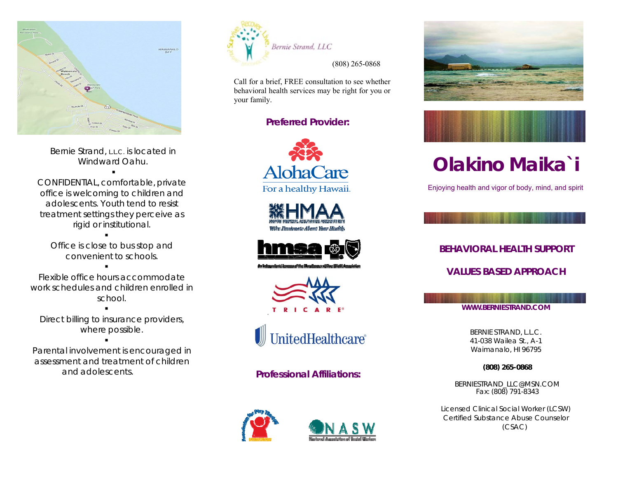

Bernie Strand, L.L.C. is located in Windward Oahu.

. .

CONFIDENTIAL, comfortable, private office is welcoming to children and adolescents. Youth tend to resisttreatment settings they perceive as rigid or institutional.

. . Office is close to bus stop and convenient to schools.

. .

Flexible office hours accommodatework schedules and children enrolled inschool.

. . Direct billing to insurance providers, where possible.

. .

Parental involvement is encouraged in assessment and treatment of children and adolescents.



Call for a brief, FREE consultation to see whether behavioral health services may be right for you or your family.

# **Preferred Provider:**











**Professional Affiliations:**









# **Olakino Maika`i**

Enjoying health and vigor of body, mind, and spirit

**BEHAVIORAL HEALTH SUPPORT VALUES BASED APPROACH**

**WWW.BERNIESTRAND.COM** 

BERNIE STRAND, L.L.C.

41-038 Wailea St., A-1 Waimanalo, HI 96795

**(808) 265-0868** 

BERNIESTRAND\_LLC@MSN.COM Fax: (808) 791-8343

Licensed Clinical Social Worker (LCSW) Certified Substance Abuse Counselor (CSAC)